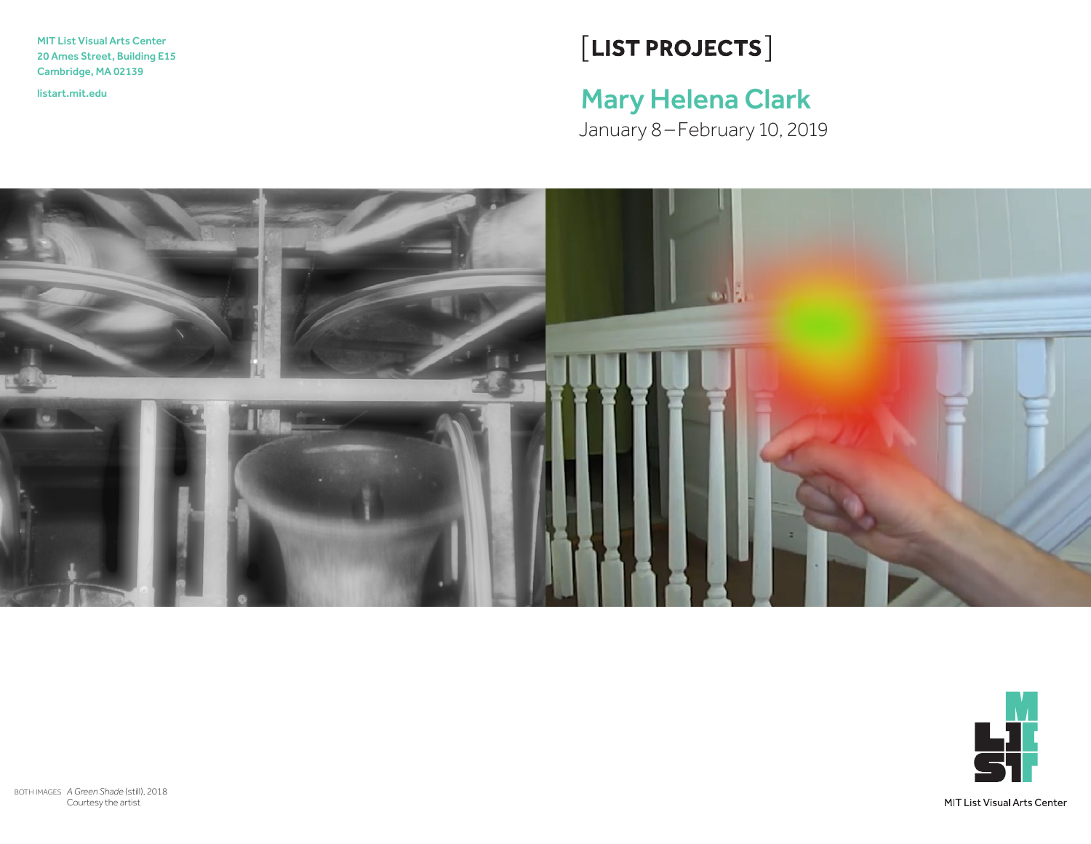MIT List Visual Arts Center 20 Ames Street, Building E15 Cambridge, MA 02139

# $[LIST PROJECTS]$

# <listart.mit.edu>Mary Helena Clark

January 8–February 10, 2019